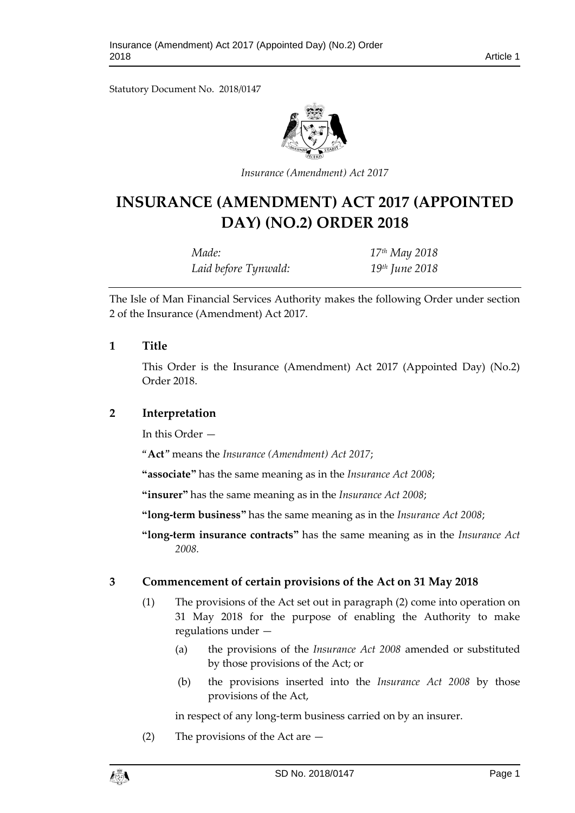Statutory Document No. 2018/0147



*Insurance (Amendment) Act 2017*

# **INSURANCE (AMENDMENT) ACT 2017 (APPOINTED DAY) (NO.2) ORDER 2018**

| Made:                | $17th$ May 2018            |
|----------------------|----------------------------|
| Laid before Tynwald: | 19 <sup>th</sup> June 2018 |

The Isle of Man Financial Services Authority makes the following Order under section 2 of the Insurance (Amendment) Act 2017.

#### **1 Title**

This Order is the Insurance (Amendment) Act 2017 (Appointed Day) (No.2) Order 2018.

## **2 Interpretation**

In this Order —

"**Act**" means the *Insurance (Amendment) Act 2017*;

**"associate"** has the same meaning as in the *Insurance Act 2008*;

**"insurer"** has the same meaning as in the *Insurance Act 2008*;

**"long-term business"** has the same meaning as in the *Insurance Act 2008*;

**"long-term insurance contracts"** has the same meaning as in the *Insurance Act 2008.*

#### **3 Commencement of certain provisions of the Act on 31 May 2018**

- (1) The provisions of the Act set out in paragraph (2) come into operation on 31 May 2018 for the purpose of enabling the Authority to make regulations under —
	- (a) the provisions of the *Insurance Act 2008* amended or substituted by those provisions of the Act; or
	- (b) the provisions inserted into the *Insurance Act 2008* by those provisions of the Act,

in respect of any long-term business carried on by an insurer.

(2) The provisions of the Act are —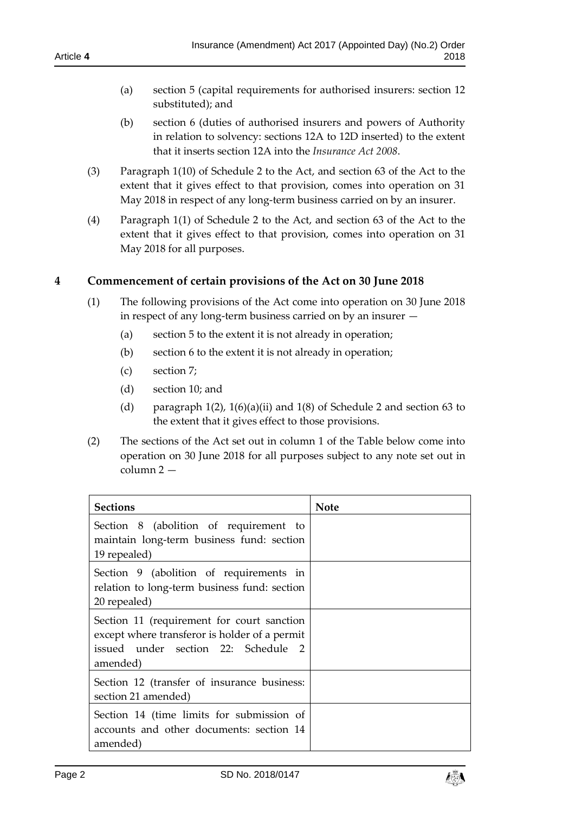- (a) section 5 (capital requirements for authorised insurers: section 12 substituted); and
- (b) section 6 (duties of authorised insurers and powers of Authority in relation to solvency: sections 12A to 12D inserted) to the extent that it inserts section 12A into the *Insurance Act 2008*.
- (3) Paragraph 1(10) of Schedule 2 to the Act, and section 63 of the Act to the extent that it gives effect to that provision, comes into operation on 31 May 2018 in respect of any long-term business carried on by an insurer.
- (4) Paragraph 1(1) of Schedule 2 to the Act, and section 63 of the Act to the extent that it gives effect to that provision, comes into operation on 31 May 2018 for all purposes.

## **4 Commencement of certain provisions of the Act on 30 June 2018**

- (1) The following provisions of the Act come into operation on 30 June 2018 in respect of any long-term business carried on by an insurer —
	- (a) section 5 to the extent it is not already in operation;
	- (b) section 6 to the extent it is not already in operation;
	- (c) section 7;
	- (d) section 10; and
	- (d) paragraph  $1(2)$ ,  $1(6)(a)(ii)$  and  $1(8)$  of Schedule 2 and section 63 to the extent that it gives effect to those provisions.
- (2) The sections of the Act set out in column 1 of the Table below come into operation on 30 June 2018 for all purposes subject to any note set out in column 2 —

| <b>Sections</b>                                                                                                                                | <b>Note</b> |
|------------------------------------------------------------------------------------------------------------------------------------------------|-------------|
| Section 8 (abolition of requirement to<br>maintain long-term business fund: section<br>19 repealed)                                            |             |
| Section 9 (abolition of requirements in<br>relation to long-term business fund: section<br>20 repealed)                                        |             |
| Section 11 (requirement for court sanction<br>except where transferor is holder of a permit<br>issued under section 22: Schedule 2<br>amended) |             |
| Section 12 (transfer of insurance business:<br>section 21 amended)                                                                             |             |
| Section 14 (time limits for submission of<br>accounts and other documents: section 14<br>amended)                                              |             |

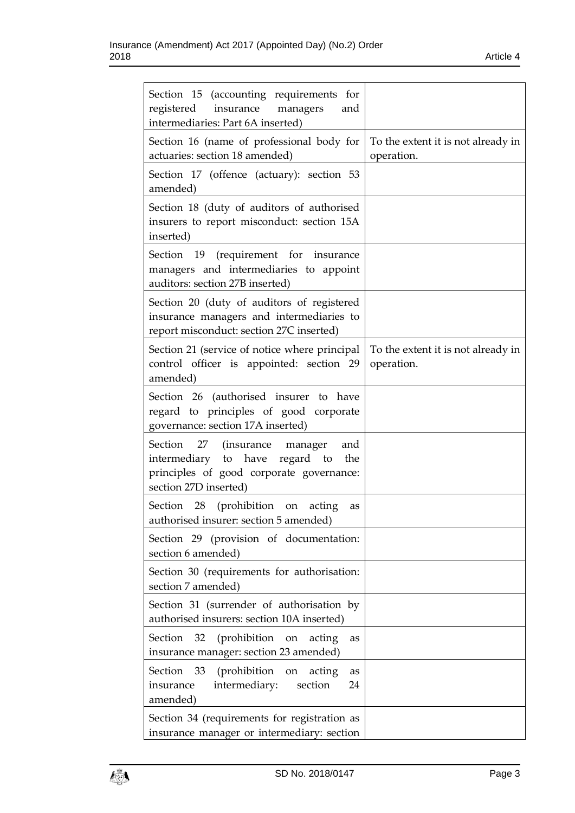| Section 15 (accounting requirements for<br>registered<br>insurance managers<br>and<br>intermediaries: Part 6A inserted)                                  |                                                  |
|----------------------------------------------------------------------------------------------------------------------------------------------------------|--------------------------------------------------|
| Section 16 (name of professional body for<br>actuaries: section 18 amended)                                                                              | To the extent it is not already in<br>operation. |
| Section 17 (offence (actuary): section 53<br>amended)                                                                                                    |                                                  |
| Section 18 (duty of auditors of authorised<br>insurers to report misconduct: section 15A<br>inserted)                                                    |                                                  |
| Section 19 (requirement for insurance<br>managers and intermediaries to appoint<br>auditors: section 27B inserted)                                       |                                                  |
| Section 20 (duty of auditors of registered<br>insurance managers and intermediaries to<br>report misconduct: section 27C inserted)                       |                                                  |
| Section 21 (service of notice where principal<br>control officer is appointed: section 29<br>amended)                                                    | To the extent it is not already in<br>operation. |
| Section 26 (authorised insurer to have<br>regard to principles of good corporate<br>governance: section 17A inserted)                                    |                                                  |
| Section<br>27 (insurance manager<br>and<br>regard to<br>intermediary to have<br>the<br>principles of good corporate governance:<br>section 27D inserted) |                                                  |
| Section 28<br>(prohibition<br>acting<br>on<br>as<br>authorised insurer: section 5 amended)                                                               |                                                  |
| Section 29 (provision of documentation:<br>section 6 amended)                                                                                            |                                                  |
| Section 30 (requirements for authorisation:<br>section 7 amended)                                                                                        |                                                  |
| Section 31 (surrender of authorisation by<br>authorised insurers: section 10A inserted)                                                                  |                                                  |
| (prohibition)<br>Section 32<br>on<br>acting<br>as<br>insurance manager: section 23 amended)                                                              |                                                  |
| Section<br>- 33<br>(prohibition<br>acting<br>on<br>as<br>intermediary:<br>section<br>24<br>insurance<br>amended)                                         |                                                  |
| Section 34 (requirements for registration as<br>insurance manager or intermediary: section                                                               |                                                  |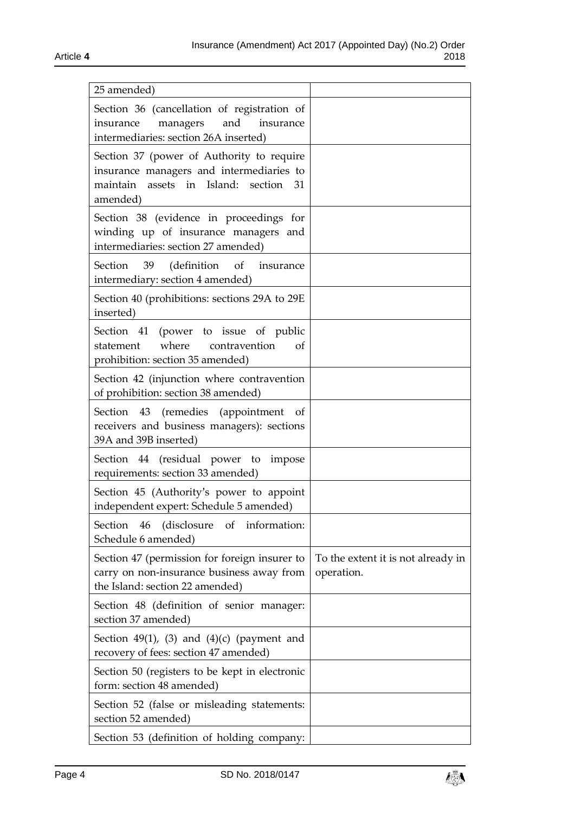| 25 amended)                                                                                                                                |                                                  |
|--------------------------------------------------------------------------------------------------------------------------------------------|--------------------------------------------------|
| Section 36 (cancellation of registration of<br>and<br>managers<br>insurance<br>insurance<br>intermediaries: section 26A inserted)          |                                                  |
| Section 37 (power of Authority to require<br>insurance managers and intermediaries to<br>maintain assets in Island: section 31<br>amended) |                                                  |
| Section 38 (evidence in proceedings for<br>winding up of insurance managers and<br>intermediaries: section 27 amended)                     |                                                  |
| Section<br>(definition<br>of<br>39<br>insurance<br>intermediary: section 4 amended)                                                        |                                                  |
| Section 40 (prohibitions: sections 29A to 29E<br>inserted)                                                                                 |                                                  |
| Section 41<br>(power to issue of public<br>where contravention<br>statement<br>οf<br>prohibition: section 35 amended)                      |                                                  |
| Section 42 (injunction where contravention<br>of prohibition: section 38 amended)                                                          |                                                  |
| Section 43 (remedies (appointment<br>of<br>receivers and business managers): sections<br>39A and 39B inserted)                             |                                                  |
| Section 44 (residual power to impose<br>requirements: section 33 amended)                                                                  |                                                  |
| Section 45 (Authority's power to appoint<br>independent expert: Schedule 5 amended)                                                        |                                                  |
| Section 46 (disclosure of information:<br>Schedule 6 amended)                                                                              |                                                  |
| Section 47 (permission for foreign insurer to<br>carry on non-insurance business away from<br>the Island: section 22 amended)              | To the extent it is not already in<br>operation. |
| Section 48 (definition of senior manager:<br>section 37 amended)                                                                           |                                                  |
| Section $49(1)$ , (3) and $(4)(c)$ (payment and<br>recovery of fees: section 47 amended)                                                   |                                                  |
| Section 50 (registers to be kept in electronic<br>form: section 48 amended)                                                                |                                                  |
| Section 52 (false or misleading statements:<br>section 52 amended)                                                                         |                                                  |
| Section 53 (definition of holding company:                                                                                                 |                                                  |

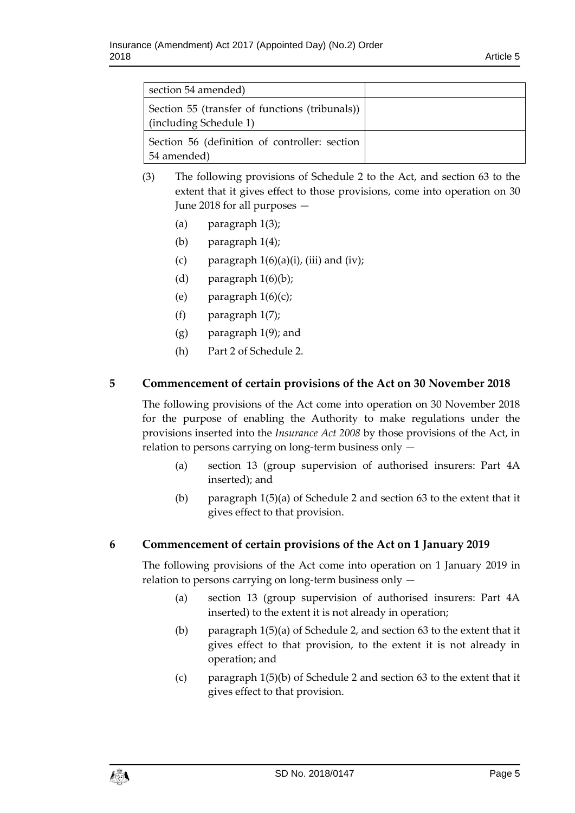| section 54 amended)                                                      |  |
|--------------------------------------------------------------------------|--|
| Section 55 (transfer of functions (tribunals))<br>(including Schedule 1) |  |
| Section 56 (definition of controller: section<br>54 amended)             |  |

- (3) The following provisions of Schedule 2 to the Act, and section 63 to the extent that it gives effect to those provisions, come into operation on 30 June 2018 for all purposes —
	- (a) paragraph 1(3);
	- (b) paragraph 1(4);
	- (c) paragraph  $1(6)(a)(i)$ , (iii) and (iv);
	- (d) paragraph  $1(6)(b)$ ;
	- (e) paragraph  $1(6)(c)$ ;
	- (f) paragraph 1(7);
	- (g) paragraph 1(9); and
	- (h) Part 2 of Schedule 2.

# **5 Commencement of certain provisions of the Act on 30 November 2018**

The following provisions of the Act come into operation on 30 November 2018 for the purpose of enabling the Authority to make regulations under the provisions inserted into the *Insurance Act 2008* by those provisions of the Act, in relation to persons carrying on long-term business only —

- (a) section 13 (group supervision of authorised insurers: Part 4A inserted); and
- (b) paragraph 1(5)(a) of Schedule 2 and section 63 to the extent that it gives effect to that provision.

#### **6 Commencement of certain provisions of the Act on 1 January 2019**

The following provisions of the Act come into operation on 1 January 2019 in relation to persons carrying on long-term business only —

- (a) section 13 (group supervision of authorised insurers: Part 4A inserted) to the extent it is not already in operation;
- (b) paragraph 1(5)(a) of Schedule 2, and section 63 to the extent that it gives effect to that provision, to the extent it is not already in operation; and
- (c) paragraph 1(5)(b) of Schedule 2 and section 63 to the extent that it gives effect to that provision.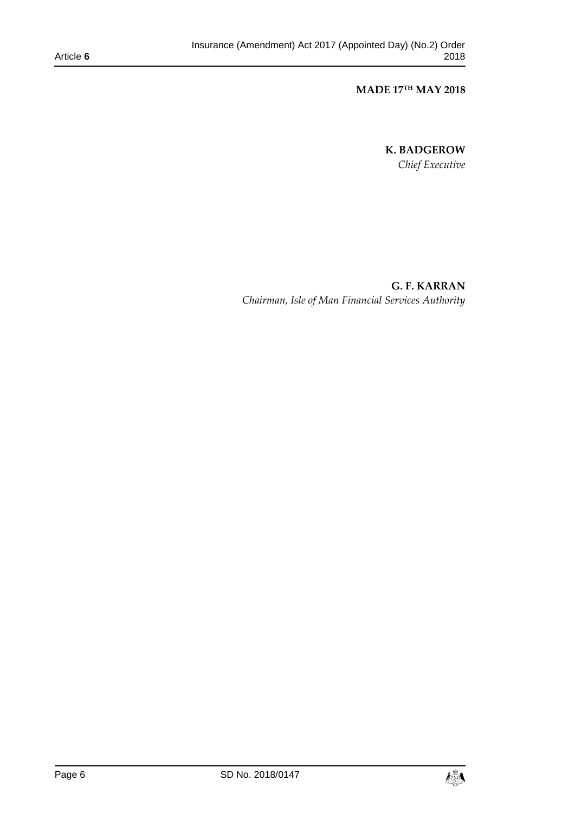**MADE 17TH MAY 2018**

**K. BADGEROW** *Chief Executive*

**G. F. KARRAN** *Chairman, Isle of Man Financial Services Authority*